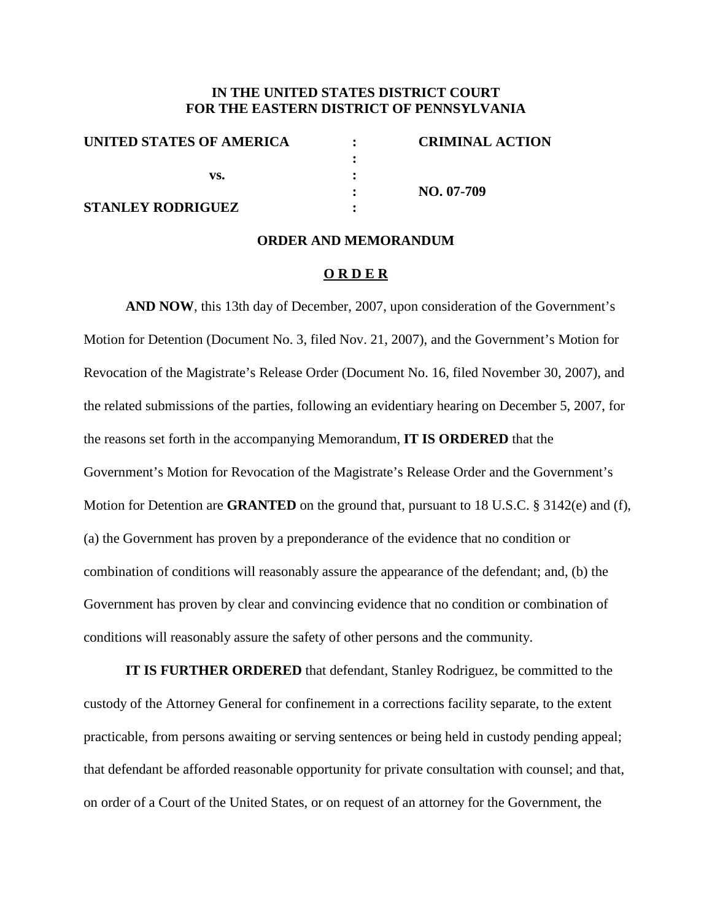## **IN THE UNITED STATES DISTRICT COURT FOR THE EASTERN DISTRICT OF PENNSYLVANIA**

| UNITED STATES OF AMERICA | <b>CRIMINAL ACTION</b> |
|--------------------------|------------------------|
|                          |                        |
| vs.                      |                        |
|                          | NO. 07-709             |
| <b>STANLEY RODRIGUEZ</b> |                        |

#### **ORDER AND MEMORANDUM**

#### **O R D E R**

**AND NOW**, this 13th day of December, 2007, upon consideration of the Government's Motion for Detention (Document No. 3, filed Nov. 21, 2007), and the Government's Motion for Revocation of the Magistrate's Release Order (Document No. 16, filed November 30, 2007), and the related submissions of the parties, following an evidentiary hearing on December 5, 2007, for the reasons set forth in the accompanying Memorandum, **IT IS ORDERED** that the Government's Motion for Revocation of the Magistrate's Release Order and the Government's Motion for Detention are **GRANTED** on the ground that, pursuant to 18 U.S.C. § 3142(e) and (f), (a) the Government has proven by a preponderance of the evidence that no condition or combination of conditions will reasonably assure the appearance of the defendant; and, (b) the Government has proven by clear and convincing evidence that no condition or combination of conditions will reasonably assure the safety of other persons and the community.

**IT IS FURTHER ORDERED** that defendant, Stanley Rodriguez, be committed to the custody of the Attorney General for confinement in a corrections facility separate, to the extent practicable, from persons awaiting or serving sentences or being held in custody pending appeal; that defendant be afforded reasonable opportunity for private consultation with counsel; and that, on order of a Court of the United States, or on request of an attorney for the Government, the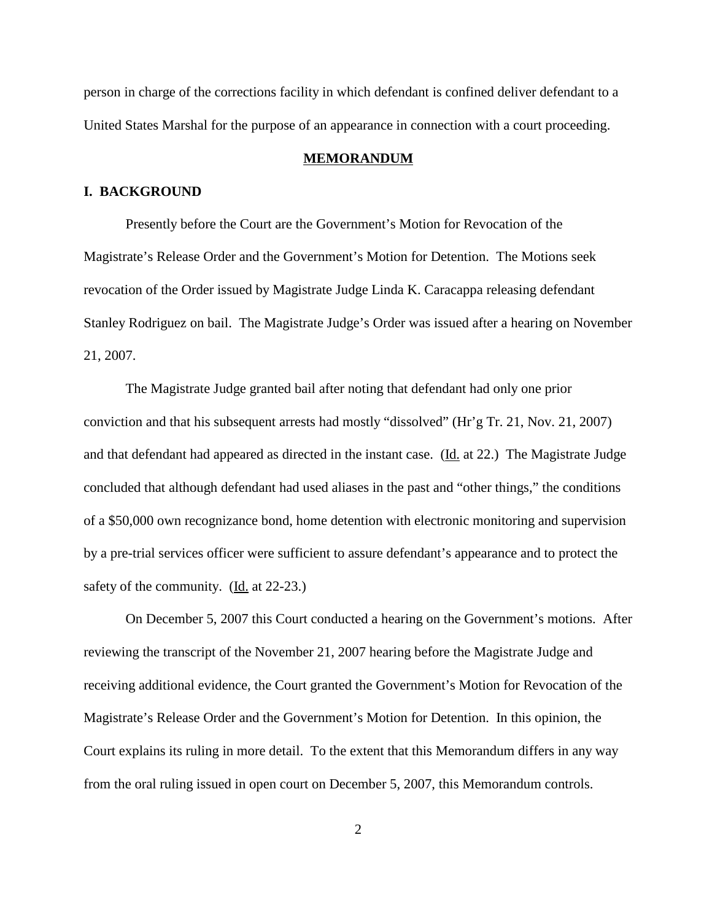person in charge of the corrections facility in which defendant is confined deliver defendant to a United States Marshal for the purpose of an appearance in connection with a court proceeding.

#### **MEMORANDUM**

## **I. BACKGROUND**

Presently before the Court are the Government's Motion for Revocation of the Magistrate's Release Order and the Government's Motion for Detention. The Motions seek revocation of the Order issued by Magistrate Judge Linda K. Caracappa releasing defendant Stanley Rodriguez on bail. The Magistrate Judge's Order was issued after a hearing on November 21, 2007.

The Magistrate Judge granted bail after noting that defendant had only one prior conviction and that his subsequent arrests had mostly "dissolved" (Hr'g Tr. 21, Nov. 21, 2007) and that defendant had appeared as directed in the instant case. (Id. at 22.) The Magistrate Judge concluded that although defendant had used aliases in the past and "other things," the conditions of a \$50,000 own recognizance bond, home detention with electronic monitoring and supervision by a pre-trial services officer were sufficient to assure defendant's appearance and to protect the safety of the community. (Id. at 22-23.)

On December 5, 2007 this Court conducted a hearing on the Government's motions. After reviewing the transcript of the November 21, 2007 hearing before the Magistrate Judge and receiving additional evidence, the Court granted the Government's Motion for Revocation of the Magistrate's Release Order and the Government's Motion for Detention. In this opinion, the Court explains its ruling in more detail. To the extent that this Memorandum differs in any way from the oral ruling issued in open court on December 5, 2007, this Memorandum controls.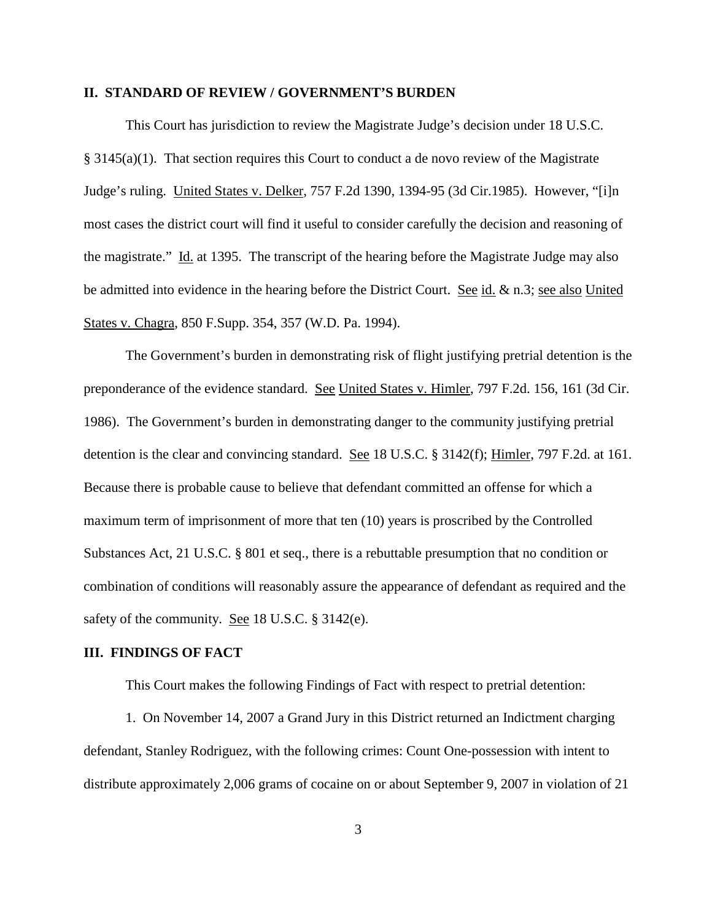### **II. STANDARD OF REVIEW / GOVERNMENT'S BURDEN**

This Court has jurisdiction to review the Magistrate Judge's decision under 18 U.S.C.  $§ 3145(a)(1)$ . That section requires this Court to conduct a de novo review of the Magistrate Judge's ruling. United States v. Delker, 757 F.2d 1390, 1394-95 (3d Cir.1985). However, "[i]n most cases the district court will find it useful to consider carefully the decision and reasoning of the magistrate." Id. at 1395. The transcript of the hearing before the Magistrate Judge may also be admitted into evidence in the hearing before the District Court. See id. & n.3; see also United States v. Chagra, 850 F.Supp. 354, 357 (W.D. Pa. 1994).

The Government's burden in demonstrating risk of flight justifying pretrial detention is the preponderance of the evidence standard. See United States v. Himler, 797 F.2d. 156, 161 (3d Cir. 1986). The Government's burden in demonstrating danger to the community justifying pretrial detention is the clear and convincing standard. See 18 U.S.C. § 3142(f); Himler, 797 F.2d. at 161. Because there is probable cause to believe that defendant committed an offense for which a maximum term of imprisonment of more that ten (10) years is proscribed by the Controlled Substances Act, 21 U.S.C. § 801 et seq., there is a rebuttable presumption that no condition or combination of conditions will reasonably assure the appearance of defendant as required and the safety of the community. <u>See</u> 18 U.S.C. § 3142(e).

## **III. FINDINGS OF FACT**

This Court makes the following Findings of Fact with respect to pretrial detention:

1. On November 14, 2007 a Grand Jury in this District returned an Indictment charging defendant, Stanley Rodriguez, with the following crimes: Count One-possession with intent to distribute approximately 2,006 grams of cocaine on or about September 9, 2007 in violation of 21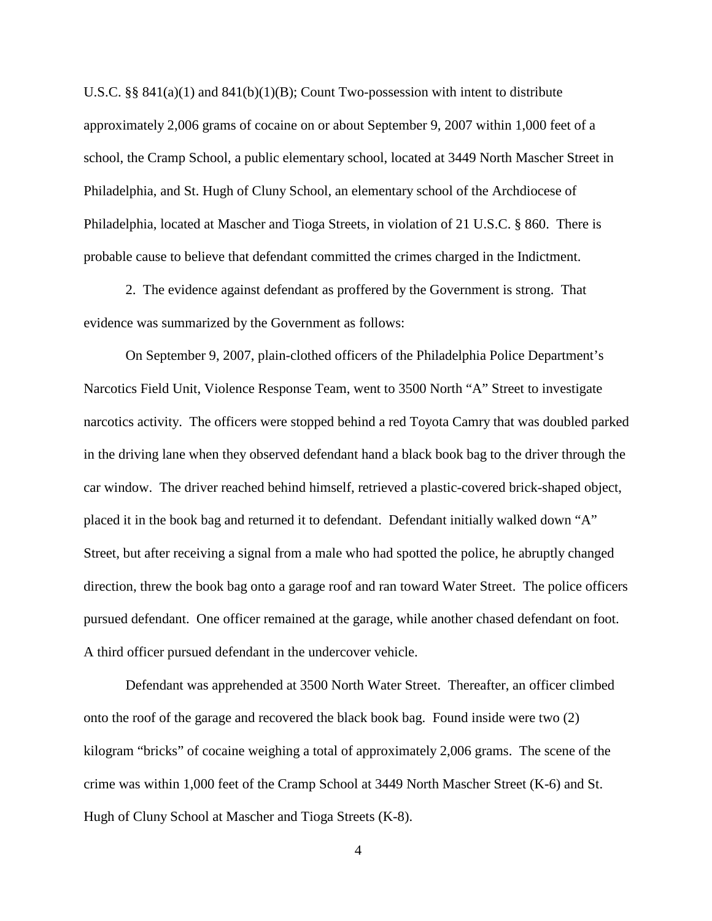U.S.C. §§ 841(a)(1) and 841(b)(1)(B); Count Two-possession with intent to distribute approximately 2,006 grams of cocaine on or about September 9, 2007 within 1,000 feet of a school, the Cramp School, a public elementary school, located at 3449 North Mascher Street in Philadelphia, and St. Hugh of Cluny School, an elementary school of the Archdiocese of Philadelphia, located at Mascher and Tioga Streets, in violation of 21 U.S.C. § 860. There is probable cause to believe that defendant committed the crimes charged in the Indictment.

2. The evidence against defendant as proffered by the Government is strong. That evidence was summarized by the Government as follows:

On September 9, 2007, plain-clothed officers of the Philadelphia Police Department's Narcotics Field Unit, Violence Response Team, went to 3500 North "A" Street to investigate narcotics activity. The officers were stopped behind a red Toyota Camry that was doubled parked in the driving lane when they observed defendant hand a black book bag to the driver through the car window. The driver reached behind himself, retrieved a plastic-covered brick-shaped object, placed it in the book bag and returned it to defendant. Defendant initially walked down "A" Street, but after receiving a signal from a male who had spotted the police, he abruptly changed direction, threw the book bag onto a garage roof and ran toward Water Street. The police officers pursued defendant. One officer remained at the garage, while another chased defendant on foot. A third officer pursued defendant in the undercover vehicle.

Defendant was apprehended at 3500 North Water Street. Thereafter, an officer climbed onto the roof of the garage and recovered the black book bag. Found inside were two (2) kilogram "bricks" of cocaine weighing a total of approximately 2,006 grams. The scene of the crime was within 1,000 feet of the Cramp School at 3449 North Mascher Street (K-6) and St. Hugh of Cluny School at Mascher and Tioga Streets (K-8).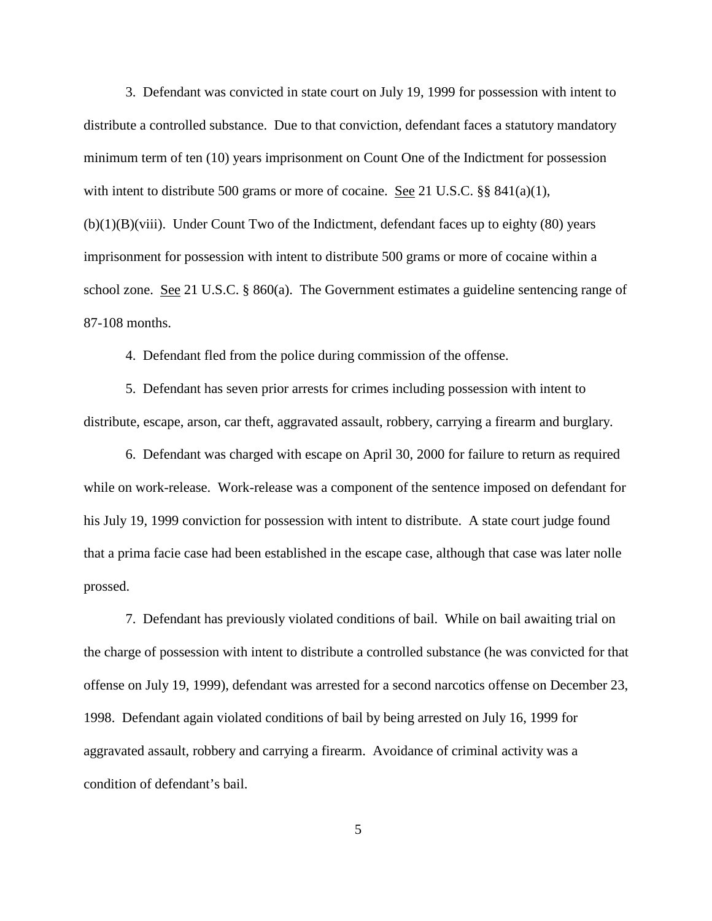3. Defendant was convicted in state court on July 19, 1999 for possession with intent to distribute a controlled substance. Due to that conviction, defendant faces a statutory mandatory minimum term of ten (10) years imprisonment on Count One of the Indictment for possession with intent to distribute 500 grams or more of cocaine. <u>See</u> 21 U.S.C. §§ 841(a)(1),  $(b)(1)(B)(viii)$ . Under Count Two of the Indictment, defendant faces up to eighty (80) years imprisonment for possession with intent to distribute 500 grams or more of cocaine within a school zone. See 21 U.S.C. § 860(a). The Government estimates a guideline sentencing range of 87-108 months.

4. Defendant fled from the police during commission of the offense.

5. Defendant has seven prior arrests for crimes including possession with intent to distribute, escape, arson, car theft, aggravated assault, robbery, carrying a firearm and burglary.

6. Defendant was charged with escape on April 30, 2000 for failure to return as required while on work-release. Work-release was a component of the sentence imposed on defendant for his July 19, 1999 conviction for possession with intent to distribute. A state court judge found that a prima facie case had been established in the escape case, although that case was later nolle prossed.

7. Defendant has previously violated conditions of bail. While on bail awaiting trial on the charge of possession with intent to distribute a controlled substance (he was convicted for that offense on July 19, 1999), defendant was arrested for a second narcotics offense on December 23, 1998. Defendant again violated conditions of bail by being arrested on July 16, 1999 for aggravated assault, robbery and carrying a firearm. Avoidance of criminal activity was a condition of defendant's bail.

5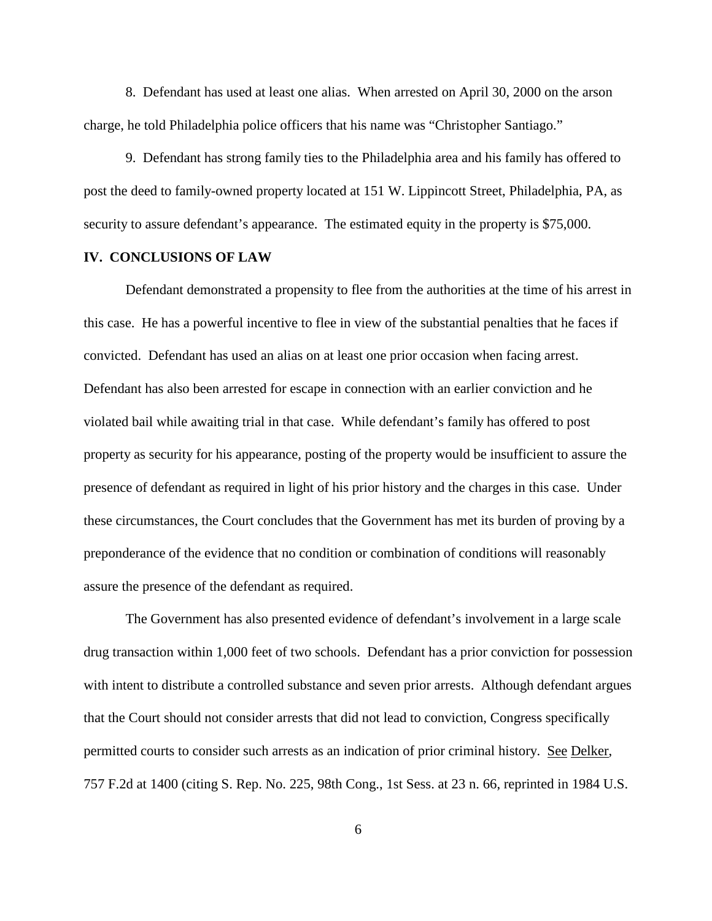8. Defendant has used at least one alias. When arrested on April 30, 2000 on the arson charge, he told Philadelphia police officers that his name was "Christopher Santiago."

9. Defendant has strong family ties to the Philadelphia area and his family has offered to post the deed to family-owned property located at 151 W. Lippincott Street, Philadelphia, PA, as security to assure defendant's appearance. The estimated equity in the property is \$75,000.

## **IV. CONCLUSIONS OF LAW**

Defendant demonstrated a propensity to flee from the authorities at the time of his arrest in this case. He has a powerful incentive to flee in view of the substantial penalties that he faces if convicted. Defendant has used an alias on at least one prior occasion when facing arrest. Defendant has also been arrested for escape in connection with an earlier conviction and he violated bail while awaiting trial in that case. While defendant's family has offered to post property as security for his appearance, posting of the property would be insufficient to assure the presence of defendant as required in light of his prior history and the charges in this case. Under these circumstances, the Court concludes that the Government has met its burden of proving by a preponderance of the evidence that no condition or combination of conditions will reasonably assure the presence of the defendant as required.

The Government has also presented evidence of defendant's involvement in a large scale drug transaction within 1,000 feet of two schools. Defendant has a prior conviction for possession with intent to distribute a controlled substance and seven prior arrests. Although defendant argues that the Court should not consider arrests that did not lead to conviction, Congress specifically permitted courts to consider such arrests as an indication of prior criminal history. See Delker, 757 F.2d at 1400 (citing S. Rep. No. 225, 98th Cong., 1st Sess. at 23 n. 66, reprinted in 1984 U.S.